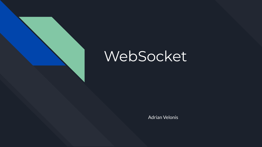

# WebSocket

Adrian Velonis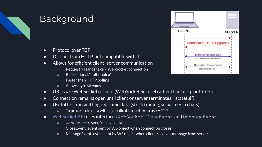

## **Background**

- Protocol over TCP
- Distinct from HTTP, but compatible with it
- Allows for efficient client–server communication
	- Request > Handshake > WebSocket connection
	- Bidirectional/"full-duplex"
	- Faster than HTTP polling
	- Allows byte streams
- URI is ws (WebSocket) or wss (WebSocket Secure) rather than http or https
- Connection remains open until client or server terminates ("stateful")
- Useful for transmitting real-time data (stock trading, social media chats)
	- To process old data with an application, better to use HTTP
- [WebSocket API](https://developer.mozilla.org/en-US/docs/Web/API/WebSockets_API) uses interfaces WebSocket, CloseEvent, and MessageEvent
	- WebSocket: send/receive data
	- CloseEvent: event sent by WS object when connection closes
	- MessageEvent: event sent by WS object when client receives message from server

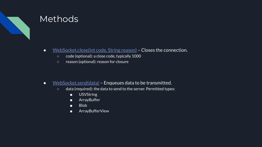

### Methods

- [WebSocket.close\(int code, String reason\)](https://developer.mozilla.org/en-US/docs/Web/API/WebSocket/close)  Closes the connection.
	- code (optional): a close code, typically 1000
	- reason (optional): reason for closure

- [WebSocket.send\(data\)](https://developer.mozilla.org/en-US/docs/Web/API/WebSocket/send)  Enqueues data to be transmitted.
	- data (required): the data to send to the server. Permitted types:
		- USVString
		- ArrayBuffer
		- Blob
		- ArrayBufferView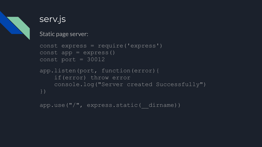

### serv.js

Static page server:

```
const express = require('express')
const app = \express()
const port = 30012
```

```
app.listen(port, function(error){
     if(error) throw error
     console.log("Server created Successfully")
})
```

```
app.use("/", express.static( dirname))
```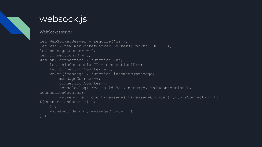

### websock.js

#### WebSocket server:

```
let WebSocketServer = require('ws');
let wss = new WebSocketServer.Server({ port: 30011 });
let messageCounter = 0;let connectionID = 0;
wss.on('connection', function (ws) {
    let thisConnectionID = connectionID++; let connectionCounter = 0;
     ws.on('message', function incoming(message) {
         messageCounter++;
         connectionCounter++;
         console.log('rec %s %d %d', message, thisConnectionID, 
connectionCounter);
         ws.send(`echoooo ${message} ${messageCounter} ${thisConnectionID} 
${connectionCounter}`);
     });
     ws.send(`Setup ${messageCounter}`);
});
```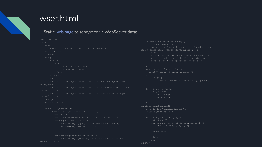### wser.html

### Static [web page](http://165.106.10.170:30012/wser.html) to send/receive WebSocket data:

```
<!DOCTYPE html>
         <meta http-equiv="Content-Type" content="text/html; 
charset=utf-8"/>
                  <td id="time">AA</td>
                  <td id="count">BB</td>
            \langle/tr>
         </table>
    let ws = null; if (ws==null) {
                  console.log("[open] Connection established");
                  ws.send("My name is John");
${event.data}`);
```
 if (event.wasClean) { code=\${event.code} reason=\${event.reason}`);  $ws. \text{operator} = function(\text{error})$  console.log("Websocket already opened"); ws.close();  $ws = null;$  console.log("sending hello2"); ws.send('Hello!!!'); function jsonToString(jjj) { for (const [ky,v] of Object.entries(jjj)) { </body> </html>